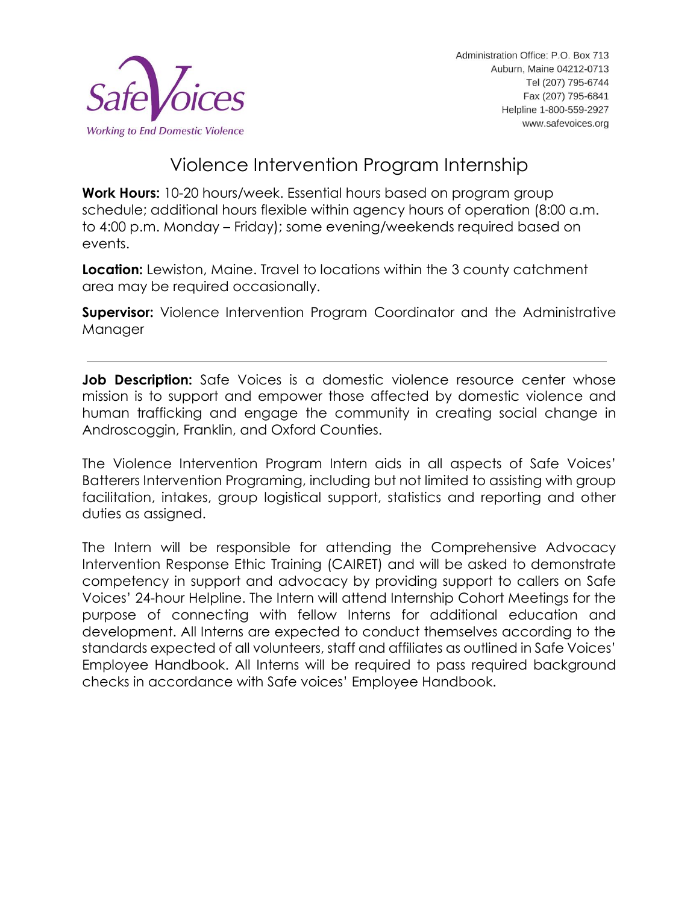

# Violence Intervention Program Internship

**Work Hours:** 10-20 hours/week. Essential hours based on program group schedule; additional hours flexible within agency hours of operation (8:00 a.m. to 4:00 p.m. Monday – Friday); some evening/weekends required based on events.

**Location:** Lewiston, Maine. Travel to locations within the 3 county catchment area may be required occasionally.

**Supervisor:** Violence Intervention Program Coordinator and the Administrative **Manager** 

**Job Description:** Safe Voices is a domestic violence resource center whose mission is to support and empower those affected by domestic violence and human trafficking and engage the community in creating social change in Androscoggin, Franklin, and Oxford Counties.

The Violence Intervention Program Intern aids in all aspects of Safe Voices' Batterers Intervention Programing, including but not limited to assisting with group facilitation, intakes, group logistical support, statistics and reporting and other duties as assigned.

The Intern will be responsible for attending the Comprehensive Advocacy Intervention Response Ethic Training (CAIRET) and will be asked to demonstrate competency in support and advocacy by providing support to callers on Safe Voices' 24-hour Helpline. The Intern will attend Internship Cohort Meetings for the purpose of connecting with fellow Interns for additional education and development. All Interns are expected to conduct themselves according to the standards expected of all volunteers, staff and affiliates as outlined in Safe Voices' Employee Handbook. All Interns will be required to pass required background checks in accordance with Safe voices' Employee Handbook.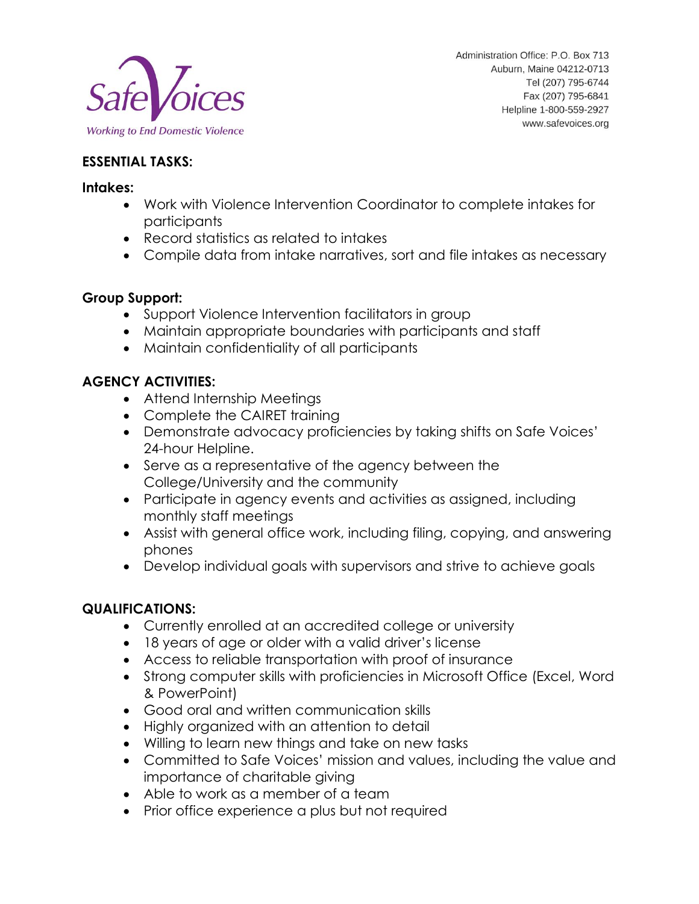

Administration Office: P.O. Box 713 Auburn, Maine 04212-0713 Tel (207) 795-6744 Fax (207) 795-6841 Helpline 1-800-559-2927 www.safevoices.org

#### **ESSENTIAL TASKS:**

#### **Intakes:**

- Work with Violence Intervention Coordinator to complete intakes for participants
- Record statistics as related to intakes
- Compile data from intake narratives, sort and file intakes as necessary

#### **Group Support:**

- Support Violence Intervention facilitators in group
- Maintain appropriate boundaries with participants and staff
- Maintain confidentiality of all participants

### **AGENCY ACTIVITIES:**

- Attend Internship Meetings
- Complete the CAIRET training
- Demonstrate advocacy proficiencies by taking shifts on Safe Voices' 24-hour Helpline.
- Serve as a representative of the agency between the College/University and the community
- Participate in agency events and activities as assigned, including monthly staff meetings
- Assist with general office work, including filing, copying, and answering phones
- Develop individual goals with supervisors and strive to achieve goals

## **QUALIFICATIONS:**

- Currently enrolled at an accredited college or university
- 18 years of age or older with a valid driver's license
- Access to reliable transportation with proof of insurance
- Strong computer skills with proficiencies in Microsoft Office (Excel, Word & PowerPoint)
- Good oral and written communication skills
- Highly organized with an attention to detail
- Willing to learn new things and take on new tasks
- Committed to Safe Voices' mission and values, including the value and importance of charitable giving
- Able to work as a member of a team
- Prior office experience a plus but not required